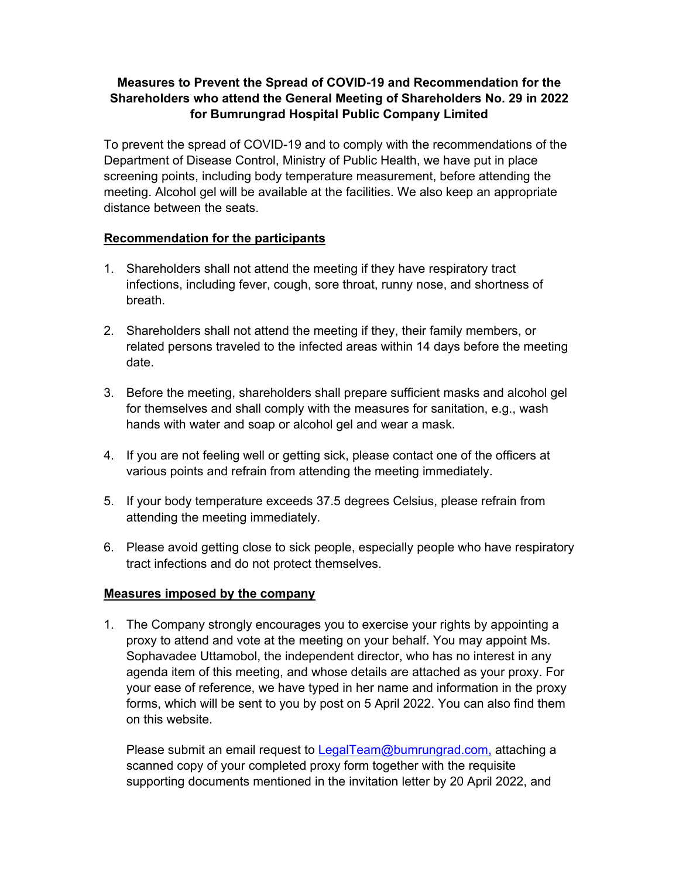## **Measures to Prevent the Spread of COVID-19 and Recommendation for the Shareholders who attend the General Meeting of Shareholders No. 29 in 2022 for Bumrungrad Hospital Public Company Limited**

To prevent the spread of COVID-19 and to comply with the recommendations of the Department of Disease Control, Ministry of Public Health, we have put in place screening points, including body temperature measurement, before attending the meeting. Alcohol gel will be available at the facilities. We also keep an appropriate distance between the seats.

## **Recommendation for the participants**

- 1. Shareholders shall not attend the meeting if they have respiratory tract infections, including fever, cough, sore throat, runny nose, and shortness of breath.
- 2. Shareholders shall not attend the meeting if they, their family members, or related persons traveled to the infected areas within 14 days before the meeting date.
- 3. Before the meeting, shareholders shall prepare sufficient masks and alcohol gel for themselves and shall comply with the measures for sanitation, e.g., wash hands with water and soap or alcohol gel and wear a mask.
- 4. If you are not feeling well or getting sick, please contact one of the officers at various points and refrain from attending the meeting immediately.
- 5. If your body temperature exceeds 37.5 degrees Celsius, please refrain from attending the meeting immediately.
- 6. Please avoid getting close to sick people, especially people who have respiratory tract infections and do not protect themselves.

## **Measures imposed by the company**

1. The Company strongly encourages you to exercise your rights by appointing a proxy to attend and vote at the meeting on your behalf. You may appoint Ms. Sophavadee Uttamobol, the independent director, who has no interest in any agenda item of this meeting, and whose details are attached as your proxy. For your ease of reference, we have typed in her name and information in the proxy forms, which will be sent to you by post on 5 April 2022. You can also find them on this website.

Please submit an email request to **LegalTeam@bumrungrad.com**, attaching a scanned copy of your completed proxy form together with the requisite supporting documents mentioned in the invitation letter by 20 April 2022, and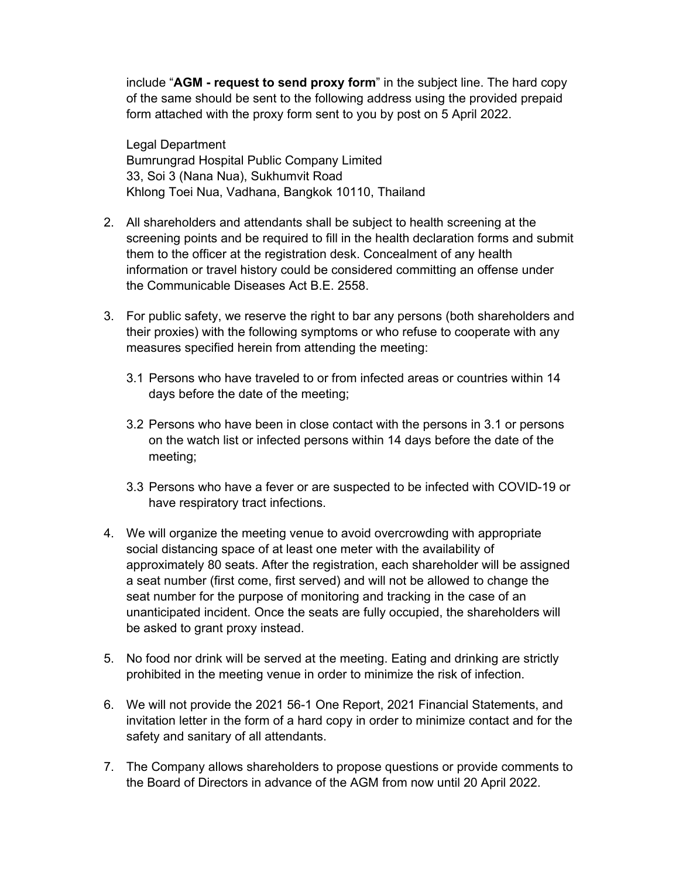include "**AGM - request to send proxy form**" in the subject line. The hard copy of the same should be sent to the following address using the provided prepaid form attached with the proxy form sent to you by post on 5 April 2022.

Legal Department Bumrungrad Hospital Public Company Limited 33, Soi 3 (Nana Nua), Sukhumvit Road Khlong Toei Nua, Vadhana, Bangkok 10110, Thailand

- 2. All shareholders and attendants shall be subject to health screening at the screening points and be required to fill in the health declaration forms and submit them to the officer at the registration desk. Concealment of any health information or travel history could be considered committing an offense under the Communicable Diseases Act B.E. 2558.
- 3. For public safety, we reserve the right to bar any persons (both shareholders and their proxies) with the following symptoms or who refuse to cooperate with any measures specified herein from attending the meeting:
	- 3.1 Persons who have traveled to or from infected areas or countries within 14 days before the date of the meeting;
	- 3.2 Persons who have been in close contact with the persons in 3.1 or persons on the watch list or infected persons within 14 days before the date of the meeting;
	- 3.3 Persons who have a fever or are suspected to be infected with COVID-19 or have respiratory tract infections.
- 4. We will organize the meeting venue to avoid overcrowding with appropriate social distancing space of at least one meter with the availability of approximately 80 seats. After the registration, each shareholder will be assigned a seat number (first come, first served) and will not be allowed to change the seat number for the purpose of monitoring and tracking in the case of an unanticipated incident. Once the seats are fully occupied, the shareholders will be asked to grant proxy instead.
- 5. No food nor drink will be served at the meeting. Eating and drinking are strictly prohibited in the meeting venue in order to minimize the risk of infection.
- 6. We will not provide the 2021 56-1 One Report, 2021 Financial Statements, and invitation letter in the form of a hard copy in order to minimize contact and for the safety and sanitary of all attendants.
- 7. The Company allows shareholders to propose questions or provide comments to the Board of Directors in advance of the AGM from now until 20 April 2022.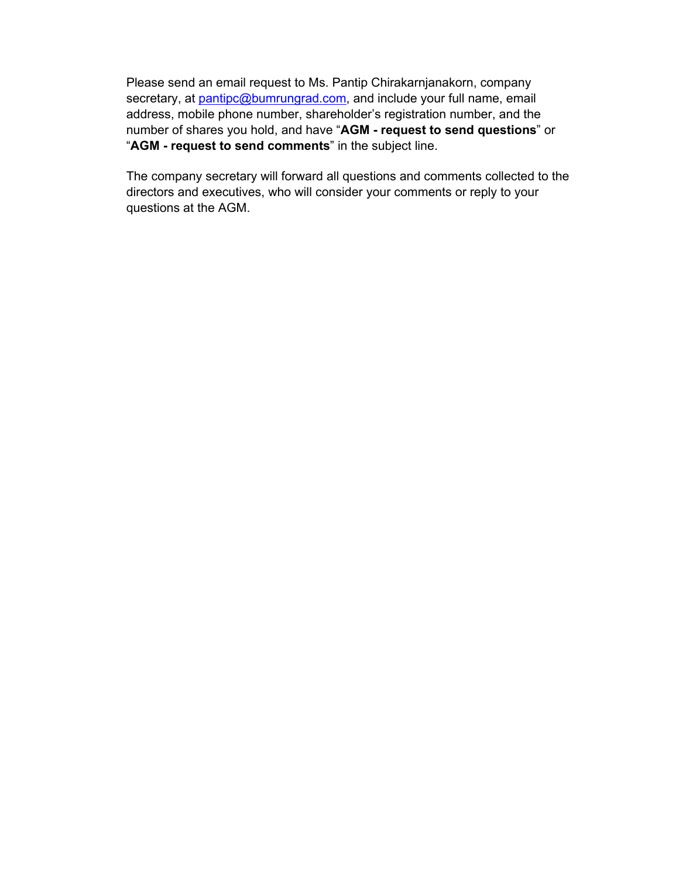Please send an email request to Ms. Pantip Chirakarnjanakorn, company secretary, at pantipc@bumrungrad.com, and include your full name, email address, mobile phone number, shareholder's registration number, and the number of shares you hold, and have "**AGM - request to send questions**" or "**AGM - request to send comments**" in the subject line.

The company secretary will forward all questions and comments collected to the directors and executives, who will consider your comments or reply to your questions at the AGM.